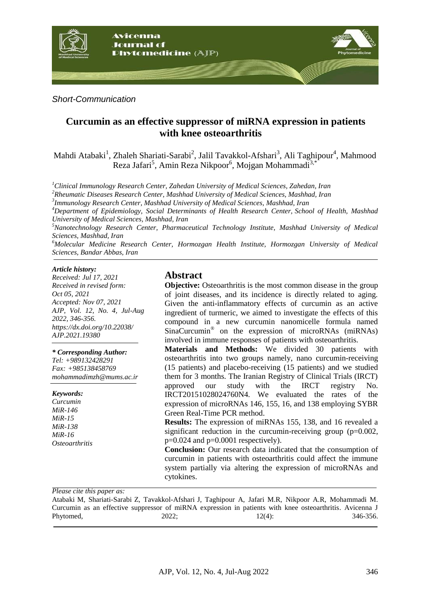

*Short-Communication*

# **Curcumin as an effective suppressor of miRNA expression in patients with knee osteoarthritis**

Mahdi Atabaki<sup>1</sup>, Zhaleh Shariati-Sarabi<sup>2</sup>, Jalil Tavakkol-Afshari<sup>3</sup>, Ali Taghipour<sup>4</sup>, Mahmood Reza Jafari<sup>5</sup>, Amin Reza Nikpoor<sup>6</sup>, Mojgan Mohammadi<sup>3,\*</sup>

*<sup>1</sup>Clinical Immunology Research Center, Zahedan University of Medical Sciences, Zahedan, Iran*

*<sup>2</sup>Rheumatic Diseases Research Center, Mashhad University of Medical Sciences, Mashhad, Iran*

*3 Immunology Research Center, Mashhad University of Medical Sciences, Mashhad, Iran*

*<sup>4</sup>Department of Epidemiology, Social Determinants of Health Research Center, School of Health, Mashhad University of Medical Sciences, Mashhad, Iran*

*<sup>5</sup>Nanotechnology Research Center, Pharmaceutical Technology Institute, Mashhad University of Medical Sciences, Mashhad, Iran*

*<sup>6</sup>Molecular Medicine Research Center, Hormozgan Health Institute, Hormozgan University of Medical Sciences, Bandar Abbas, Iran*

#### *Article history:*

*Received: Jul 17, 2021 Received in revised form: Oct 05, 2021 Accepted: Nov 07, 2021 AJP, Vol. 12, No. 4, Jul-Aug 2022, 346-356. https://dx.doi.org/10.22038/ AJP.2021.19380*

*\* Corresponding Author:*

*Tel: +989132428291 Fax: +985138458769 mohammadimzh@mums.ac.ir*

*Keywords:* 

*Curcumin MiR-146 MiR-15 MiR-138 MiR-16 Osteoarthritis*

## **Abstract**

**Objective:** Osteoarthritis is the most common disease in the group of joint diseases, and its incidence is directly related to aging. Given the anti-inflammatory effects of curcumin as an active ingredient of turmeric, we aimed to investigate the effects of this compound in a new curcumin nanomicelle formula named SinaCurcumin® on the expression of microRNAs (miRNAs) involved in immune responses of patients with osteoarthritis.

**Materials and Methods:** We divided 30 patients with osteoarthritis into two groups namely, nano curcumin-receiving (15 patients) and placebo-receiving (15 patients) and we studied them for 3 months. The Iranian Registry of Clinical Trials (IRCT)<br>approved our study with the IRCT registry No. approved our study with the IRCT registry No. IRCT20151028024760N4. We evaluated the rates of the expression of microRNAs 146, 155, 16, and 138 employing SYBR Green Real-Time PCR method.

**Results:** The expression of miRNAs 155, 138, and 16 revealed a significant reduction in the curcumin-receiving group  $(p=0.002,$  $p=0.024$  and  $p=0.0001$  respectively).

**Conclusion:** Our research data indicated that the consumption of curcumin in patients with osteoarthritis could affect the immune system partially via altering the expression of microRNAs and cytokines.

*Please cite this paper as:* 

Atabaki M, Shariati-Sarabi Z, Tavakkol-Afshari J, Taghipour A, Jafari M.R, Nikpoor A.R, Mohammadi M. Curcumin as an effective suppressor of miRNA expression in patients with knee osteoarthritis. Avicenna J Phytomed, 2022; 12(4): 346-356.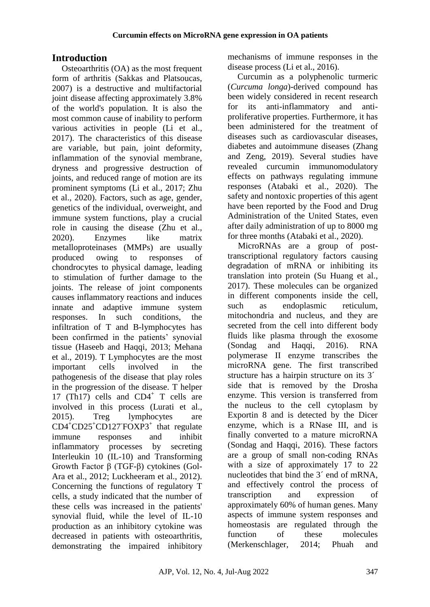# **Introduction**

Osteoarthritis (OA) as the most frequent form of arthritis (Sakkas and Platsoucas, 2007) is a destructive and multifactorial joint disease affecting approximately 3.8% of the world's population. It is also the most common cause of inability to perform various activities in people (Li et al., 2017). The characteristics of this disease are variable, but pain, joint deformity, inflammation of the synovial membrane, dryness and progressive destruction of joints, and reduced range of motion are its prominent symptoms (Li et al., 2017; Zhu et al., 2020). Factors, such as age, gender, genetics of the individual, overweight, and immune system functions, play a crucial role in causing the disease (Zhu et al., 2020). Enzymes like matrix metalloproteinases (MMPs) are usually produced owing to responses of chondrocytes to physical damage, leading to stimulation of further damage to the joints. The release of joint components causes inflammatory reactions and induces innate and adaptive immune system responses. In such conditions, the infiltration of T and B-lymphocytes has been confirmed in the patients' synovial tissue (Haseeb and Haqqi, 2013; Mehana et al., 2019). T Lymphocytes are the most important cells involved in the pathogenesis of the disease that play roles in the progression of the disease. T helper 17 (Th17) cells and  $CD4^+$  T cells are involved in this process (Lurati et al., 2015). Treg lymphocytes are CD4<sup>+</sup>CD25<sup>+</sup>CD127- FOXP3<sup>+</sup> that regulate immune responses and inhibit inflammatory processes by secreting Interleukin 10 (IL-10) and Transforming Growth Factor β (TGF-β) cytokines (Gol-Ara et al., 2012; Luckheeram et al., 2012). Concerning the functions of regulatory T cells, a study indicated that the number of these cells was increased in the patients' synovial fluid, while the level of IL-10 production as an inhibitory cytokine was decreased in patients with osteoarthritis, demonstrating the impaired inhibitory mechanisms of immune responses in the disease process (Li et al., 2016).

Curcumin as a polyphenolic turmeric (*Curcuma longa*)-derived compound has been widely considered in recent research for its anti-inflammatory and antiproliferative properties. Furthermore, it has been administered for the treatment of diseases such as cardiovascular diseases, diabetes and autoimmune diseases (Zhang and Zeng, 2019). Several studies have revealed curcumin immunomodulatory effects on pathways regulating immune responses (Atabaki et al., 2020). The safety and nontoxic properties of this agent have been reported by the Food and Drug Administration of the United States, even after daily administration of up to 8000 mg for three months (Atabaki et al., 2020).

MicroRNAs are a group of posttranscriptional regulatory factors causing degradation of mRNA or inhibiting its translation into protein (Su Huang et al., 2017). These molecules can be organized in different components inside the cell, such as endoplasmic reticulum, mitochondria and nucleus, and they are secreted from the cell into different body fluids like plasma through the exosome (Sondag and Haqqi, 2016). RNA polymerase II enzyme transcribes the microRNA gene. The first transcribed structure has a hairpin structure on its 3<sup>1</sup> side that is removed by the Drosha enzyme. This version is transferred from the nucleus to the cell cytoplasm by Exportin 8 and is detected by the Dicer enzyme, which is a RNase III, and is finally converted to a mature microRNA (Sondag and Haqqi, 2016). These factors are a group of small non-coding RNAs with a size of approximately 17 to 22 nucleotides that bind the 3´ end of mRNA, and effectively control the process of transcription and expression of approximately 60% of human genes. Many aspects of immune system responses and homeostasis are regulated through the function of these molecules (Merkenschlager, 2014; Phuah and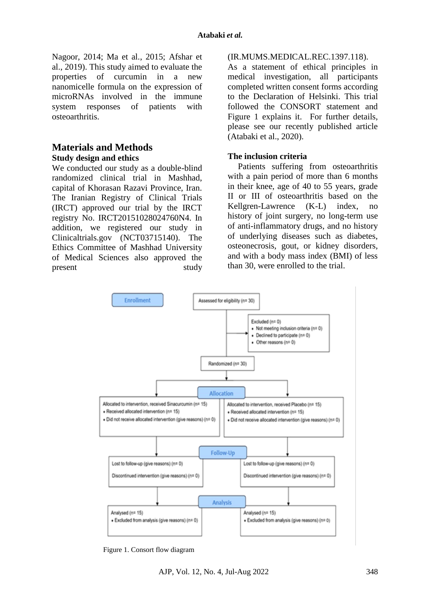Nagoor, 2014; Ma et al., 2015; Afshar et al., 2019). This study aimed to evaluate the properties of curcumin in a new nanomicelle formula on the expression of microRNAs involved in the immune system responses of patients with osteoarthritis.

### **Materials and Methods Study design and ethics**

We conducted our study as a double-blind randomized clinical trial in Mashhad, capital of Khorasan Razavi Province, Iran. The Iranian Registry of Clinical Trials (IRCT) approved our trial by the IRCT registry No. IRCT20151028024760N4. In addition, we registered our study in Clinicaltrials.gov (NCT03715140). The Ethics Committee of Mashhad University of Medical Sciences also approved the present study

#### (IR.MUMS.MEDICAL.REC.1397.118).

As a statement of ethical principles in medical investigation, all participants completed written consent forms according to the Declaration of Helsinki. This trial followed the CONSORT statement and Figure 1 explains it. For further details, please see our recently published article (Atabaki et al., 2020).

#### **The inclusion criteria**

Patients suffering from osteoarthritis with a pain period of more than 6 months in their knee, age of 40 to 55 years, grade II or III of osteoarthritis based on the Kellgren-Lawrence (K-L) index, no history of joint surgery, no long-term use of anti-inflammatory drugs, and no history of underlying diseases such as diabetes, osteonecrosis, gout, or kidney disorders, and with a body mass index (BMI) of less than 30, were enrolled to the trial.



Figure 1. Consort flow diagram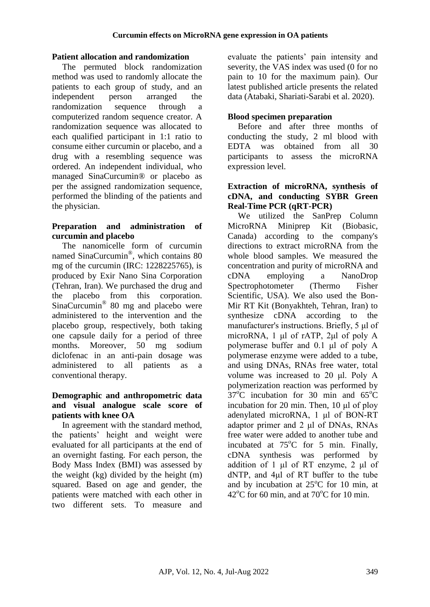### **Patient allocation and randomization**

The permuted block randomization method was used to randomly allocate the patients to each group of study, and an independent person arranged the randomization sequence through a computerized random sequence creator. A randomization sequence was allocated to each qualified participant in 1:1 ratio to consume either curcumin or placebo, and a drug with a resembling sequence was ordered. An independent individual, who managed SinaCurcumin® or placebo as per the assigned randomization sequence, performed the blinding of the patients and the physician.

#### **Preparation and administration of curcumin and placebo**

The nanomicelle form of curcumin named SinaCurcumin® , which contains 80 mg of the curcumin (IRC: 1228225765), is produced by Exir Nano Sina Corporation (Tehran, Iran). We purchased the drug and the placebo from this corporation. SinaCurcumin® 80 mg and placebo were administered to the intervention and the placebo group, respectively, both taking one capsule daily for a period of three months. Moreover, 50 mg sodium diclofenac in an anti-pain dosage was administered to all patients as a conventional therapy.

#### **Demographic and anthropometric data and visual analogue scale score of patients with knee OA**

In agreement with the standard method, the patients' height and weight were evaluated for all participants at the end of an overnight fasting. For each person, the Body Mass Index (BMI) was assessed by the weight (kg) divided by the height (m) squared. Based on age and gender, the patients were matched with each other in two different sets. To measure and

evaluate the patients' pain intensity and severity, the VAS index was used (0 for no pain to 10 for the maximum pain). Our latest published article presents the related data (Atabaki, Shariati-Sarabi et al. 2020).

## **Blood specimen preparation**

Before and after three months of conducting the study, 2 ml blood with EDTA was obtained from all 30 participants to assess the microRNA expression level.

### **Extraction of microRNA, synthesis of cDNA, and conducting SYBR Green Real-Time PCR (qRT-PCR)**

We utilized the SanPrep Column MicroRNA Miniprep Kit (Biobasic, Canada) according to the company's directions to extract microRNA from the whole blood samples. We measured the concentration and purity of microRNA and cDNA employing a NanoDrop Spectrophotometer (Thermo Fisher Scientific, USA). We also used the Bon-Mir RT Kit (Bonyakhteh, Tehran, Iran) to synthesize cDNA according to the manufacturer's instructions. Briefly, 5 μl of microRNA, 1 μl of rATP, 2μl of poly A polymerase buffer and 0.1 μl of poly A polymerase enzyme were added to a tube, and using DNAs, RNAs free water, total volume was increased to 20 μl. Poly A polymerization reaction was performed by  $37^{\circ}$ C incubation for 30 min and  $65^{\circ}$ C incubation for 20 min. Then, 10 μl of ploy adenylated microRNA, 1 μl of BON-RT adaptor primer and 2 μl of DNAs, RNAs free water were added to another tube and incubated at  $75^{\circ}$ C for 5 min. Finally, cDNA synthesis was performed by addition of 1 μl of RT enzyme, 2 μl of dNTP, and 4μl of RT buffer to the tube and by incubation at  $25^{\circ}$ C for 10 min, at  $42^{\circ}$ C for 60 min, and at  $70^{\circ}$ C for 10 min.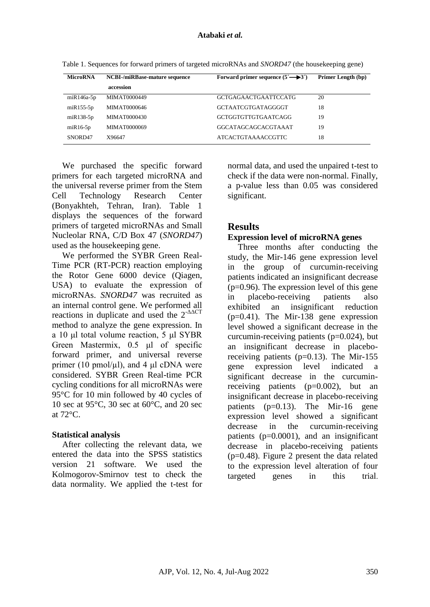| <b>MicroRNA</b>   | <b>NCBI-/miRBase-mature sequence</b> | Forward primer sequence $(5^{\prime} \rightarrow 3^{\prime})$ | Primer Length (bp) |
|-------------------|--------------------------------------|---------------------------------------------------------------|--------------------|
|                   | accession                            |                                                               |                    |
| $m$ i $R$ 146a-5p | <b>MIMAT0000449</b>                  | <b>GCTGAGAACTGAATTCCATG</b>                                   | 20                 |
| $mR155-5p$        | <b>MIMAT0000646</b>                  | GCTAATCGTGATAGGGGT                                            | 18                 |
| $mR138-5p$        | <b>MIMAT0000430</b>                  | GCTGGTGTTGTGAATCAGG                                           | 19                 |
| $mR16-5p$         | MIMAT0000069                         | GGCATAGCAGCACGTAAAT                                           | 19                 |
| SNORD47           | X96647                               | <b>ATCACTGTAAAACCGTTC</b>                                     | 18                 |

Table 1. Sequences for forward primers of targeted microRNAs and *SNORD47* (the housekeeping gene)

We purchased the specific forward primers for each targeted microRNA and the universal reverse primer from the Stem Cell Technology Research Center (Bonyakhteh, Tehran, Iran). Table 1 displays the sequences of the forward primers of targeted microRNAs and Small Nucleolar RNA, C/D Box 47 (*SNORD47*) used as the housekeeping gene.

We performed the SYBR Green Real-Time PCR (RT-PCR) reaction employing the Rotor Gene 6000 device (Qiagen, USA) to evaluate the expression of microRNAs. *SNORD47* was recruited as an internal control gene. We performed all reactions in duplicate and used the  $2^{\triangle\Delta\text{CT}}$ method to analyze the gene expression. In a 10 μl total volume reaction, 5 μl SYBR Green Mastermix, 0.5 μl of specific forward primer, and universal reverse primer (10 pmol/ $\mu$ l), and 4  $\mu$ l cDNA were considered. SYBR Green Real-time PCR cycling conditions for all microRNAs were 95°C for 10 min followed by 40 cycles of 10 sec at 95°C, 30 sec at 60°C, and 20 sec at 72°C.

#### **Statistical analysis**

After collecting the relevant data, we entered the data into the SPSS statistics version 21 software. We used the Kolmogorov-Smirnov test to check the data normality. We applied the t-test for normal data, and used the unpaired t-test to check if the data were non-normal. Finally, a p-value less than 0.05 was considered significant.

## **Results**

#### **Expression level of microRNA genes**

Three months after conducting the study, the Mir-146 gene expression level in the group of curcumin-receiving patients indicated an insignificant decrease  $(p=0.96)$ . The expression level of this gene in placebo-receiving patients also exhibited an insignificant reduction (p=0.41). The Mir-138 gene expression level showed a significant decrease in the curcumin-receiving patients  $(p=0.024)$ , but an insignificant decrease in placeboreceiving patients ( $p=0.13$ ). The Mir-155 gene expression level indicated a significant decrease in the curcuminreceiving patients  $(p=0.002)$ , but an insignificant decrease in placebo-receiving patients  $(p=0.13)$ . The Mir-16 gene expression level showed a significant decrease in the curcumin-receiving patients (p=0.0001), and an insignificant decrease in placebo-receiving patients  $(p=0.48)$ . Figure 2 present the data related to the expression level alteration of four targeted genes in this trial.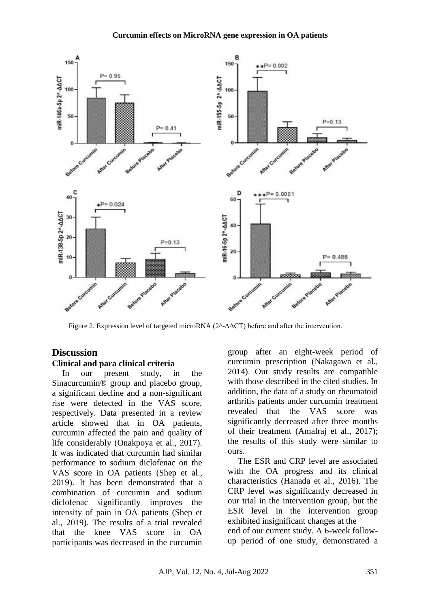

Figure 2. Expression level of targeted microRNA  $(2^{\wedge}$ - $\Delta$  $\Delta$ CT) before and after the intervention.

# **Discussion**

#### **Clinical and para clinical criteria**

In our present study, in the Sinacurcumin® group and placebo group, a significant decline and a non-significant rise were detected in the VAS score, respectively. Data presented in a review article showed that in OA patients, curcumin affected the pain and quality of life considerably (Onakpoya et al., 2017). It was indicated that curcumin had similar performance to sodium diclofenac on the VAS score in OA patients (Shep et al., 2019). It has been demonstrated that a combination of curcumin and sodium diclofenac significantly improves the intensity of pain in OA patients (Shep et al., 2019). The results of a trial revealed that the knee VAS score in OA participants was decreased in the curcumin

group after an eight-week period of curcumin prescription (Nakagawa et al., 2014). Our study results are compatible with those described in the cited studies. In addition, the data of a study on rheumatoid arthritis patients under curcumin treatment revealed that the VAS score was significantly decreased after three months of their treatment (Amalraj et al., 2017); the results of this study were similar to ours.

The ESR and CRP level are associated with the OA progress and its clinical characteristics (Hanada et al., 2016). The CRP level was significantly decreased in our trial in the intervention group, but the ESR level in the intervention group exhibited insignificant changes at the end of our current study. A 6-week followup period of one study, demonstrated a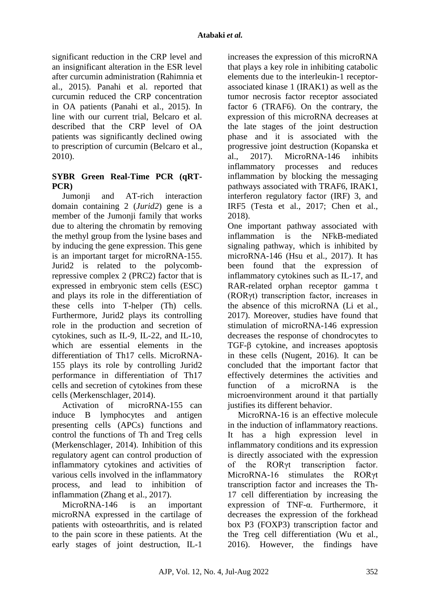significant reduction in the CRP level and an insignificant alteration in the ESR level after curcumin administration (Rahimnia et al., 2015). Panahi et al. reported that curcumin reduced the CRP concentration in OA patients (Panahi et al., 2015). In line with our current trial, Belcaro et al. described that the CRP level of OA patients was significantly declined owing to prescription of curcumin (Belcaro et al., 2010).

## **SYBR Green Real-Time PCR (qRT-PCR)**

Jumonii and AT-rich interaction domain containing 2 (*Jurid2*) gene is a member of the Jumonji family that works due to altering the chromatin by removing the methyl group from the lysine bases and by inducing the gene expression. This gene is an important target for microRNA-155. Jurid2 is related to the polycombrepressive complex 2 (PRC2) factor that is expressed in embryonic stem cells (ESC) and plays its role in the differentiation of these cells into T-helper (Th) cells. Furthermore, Jurid2 plays its controlling role in the production and secretion of cytokines, such as IL-9, IL-22, and IL-10, which are essential elements in the differentiation of Th17 cells. MicroRNA-155 plays its role by controlling Jurid2 performance in differentiation of Th17 cells and secretion of cytokines from these cells (Merkenschlager, 2014).

Activation of microRNA-155 can induce B lymphocytes and antigen presenting cells (APCs) functions and control the functions of Th and Treg cells (Merkenschlager, 2014). Inhibition of this regulatory agent can control production of inflammatory cytokines and activities of various cells involved in the inflammatory process, and lead to inhibition of inflammation (Zhang et al., 2017).

MicroRNA-146 is an important microRNA expressed in the cartilage of patients with osteoarthritis, and is related to the pain score in these patients. At the early stages of joint destruction, IL-1

increases the expression of this microRNA that plays a key role in inhibiting catabolic elements due to the interleukin-1 receptorassociated kinase 1 (IRAK1) as well as the tumor necrosis factor receptor associated factor 6 (TRAF6). On the contrary, the expression of this microRNA decreases at the late stages of the joint destruction phase and it is associated with the progressive joint destruction (Kopanska et al., 2017). MicroRNA-146 inhibits inflammatory processes and reduces inflammation by blocking the messaging pathways associated with TRAF6, IRAK1, interferon regulatory factor (IRF) 3, and IRF5 (Testa et al., 2017; Chen et al., 2018).

One important pathway associated with inflammation is the NFkB-mediated signaling pathway, which is inhibited by microRNA-146 (Hsu et al., 2017). It has been found that the expression of inflammatory cytokines such as IL-17, and RAR-related orphan receptor gamma t (RORγt) transcription factor, increases in the absence of this microRNA (Li et al., 2017). Moreover, studies have found that stimulation of microRNA-146 expression decreases the response of chondrocytes to TGF-β cytokine, and increases apoptosis in these cells (Nugent, 2016). It can be concluded that the important factor that effectively determines the activities and function of a microRNA is the microenvironment around it that partially justifies its different behavior.

MicroRNA-16 is an effective molecule in the induction of inflammatory reactions. It has a high expression level in inflammatory conditions and its expression is directly associated with the expression of the RORγt transcription factor. MicroRNA-16 stimulates the RORγt transcription factor and increases the Th-17 cell differentiation by increasing the expression of TNF-α. Furthermore, it decreases the expression of the forkhead box P3 (FOXP3) transcription factor and the Treg cell differentiation (Wu et al., 2016). However, the findings have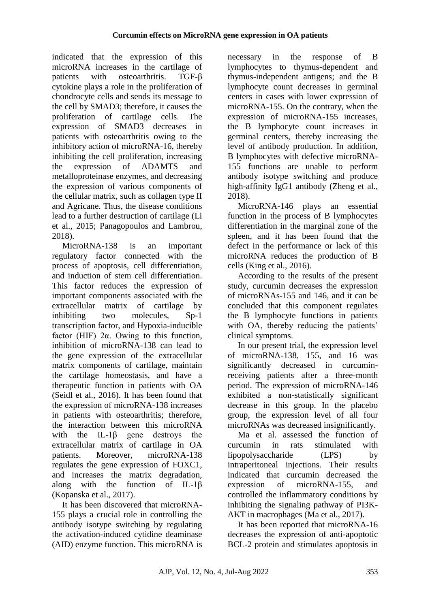indicated that the expression of this microRNA increases in the cartilage of patients with osteoarthritis. TGF-B cytokine plays a role in the proliferation of chondrocyte cells and sends its message to the cell by SMAD3; therefore, it causes the proliferation of cartilage cells. The expression of SMAD3 decreases in patients with osteoarthritis owing to the inhibitory action of microRNA-16, thereby inhibiting the cell proliferation, increasing the expression of ADAMTS and metalloproteinase enzymes, and decreasing the expression of various components of the cellular matrix, such as collagen type II and Agricane. Thus, the disease conditions lead to a further destruction of cartilage (Li et al., 2015; Panagopoulos and Lambrou, 2018).

MicroRNA-138 is an important regulatory factor connected with the process of apoptosis, cell differentiation, and induction of stem cell differentiation. This factor reduces the expression of important components associated with the extracellular matrix of cartilage by inhibiting two molecules, Sp-1 transcription factor, and Hypoxia-inducible factor (HIF) 2α. Owing to this function, inhibition of microRNA-138 can lead to the gene expression of the extracellular matrix components of cartilage, maintain the cartilage homeostasis, and have a therapeutic function in patients with OA (Seidl et al., 2016). It has been found that the expression of microRNA-138 increases in patients with osteoarthritis; therefore, the interaction between this microRNA with the IL-1<sup>β</sup> gene destroys the extracellular matrix of cartilage in OA patients. Moreover, microRNA-138 regulates the gene expression of FOXC1, and increases the matrix degradation, along with the function of IL-1β (Kopanska et al., 2017).

It has been discovered that microRNA-155 plays a crucial role in controlling the antibody isotype switching by regulating the activation-induced cytidine deaminase (AID) enzyme function. This microRNA is necessary in the response of B lymphocytes to thymus-dependent and thymus-independent antigens; and the B lymphocyte count decreases in germinal centers in cases with lower expression of microRNA-155. On the contrary, when the expression of microRNA-155 increases, the B lymphocyte count increases in germinal centers, thereby increasing the level of antibody production. In addition, B lymphocytes with defective microRNA-155 functions are unable to perform antibody isotype switching and produce high-affinity IgG1 antibody (Zheng et al., 2018).

MicroRNA-146 plays an essential function in the process of B lymphocytes differentiation in the marginal zone of the spleen, and it has been found that the defect in the performance or lack of this microRNA reduces the production of B cells (King et al., 2016).

According to the results of the present study, curcumin decreases the expression of microRNAs-155 and 146, and it can be concluded that this component regulates the B lymphocyte functions in patients with OA, thereby reducing the patients' clinical symptoms.

In our present trial, the expression level of microRNA-138, 155, and 16 was significantly decreased in curcuminreceiving patients after a three-month period. The expression of microRNA-146 exhibited a non-statistically significant decrease in this group. In the placebo group, the expression level of all four microRNAs was decreased insignificantly.

Ma et al. assessed the function of curcumin in rats stimulated with lipopolysaccharide (LPS) by intraperitoneal injections. Their results indicated that curcumin decreased the expression of microRNA-155, and controlled the inflammatory conditions by inhibiting the signaling pathway of PI3K-AKT in macrophages (Ma et al., 2017).

It has been reported that microRNA-16 decreases the expression of anti-apoptotic BCL-2 protein and stimulates apoptosis in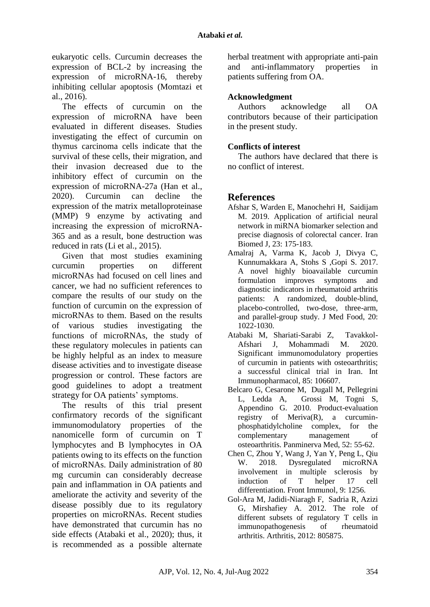eukaryotic cells. Curcumin decreases the expression of BCL-2 by increasing the expression of microRNA-16, thereby inhibiting cellular apoptosis (Momtazi et al., 2016).

The effects of curcumin on the expression of microRNA have been evaluated in different diseases. Studies investigating the effect of curcumin on thymus carcinoma cells indicate that the survival of these cells, their migration, and their invasion decreased due to the inhibitory effect of curcumin on the expression of microRNA-27a (Han et al., 2020). Curcumin can decline the expression of the matrix metalloproteinase (MMP) 9 enzyme by activating and increasing the expression of microRNA-365 and as a result, bone destruction was reduced in rats (Li et al., 2015).

Given that most studies examining curcumin properties on different microRNAs had focused on cell lines and cancer, we had no sufficient references to compare the results of our study on the function of curcumin on the expression of microRNAs to them. Based on the results of various studies investigating the functions of microRNAs, the study of these regulatory molecules in patients can be highly helpful as an index to measure disease activities and to investigate disease progression or control. These factors are good guidelines to adopt a treatment strategy for OA patients' symptoms.

The results of this trial present confirmatory records of the significant immunomodulatory properties of the nanomicelle form of curcumin on T lymphocytes and B lymphocytes in OA patients owing to its effects on the function of microRNAs. Daily administration of 80 mg curcumin can considerably decrease pain and inflammation in OA patients and ameliorate the activity and severity of the disease possibly due to its regulatory properties on microRNAs. Recent studies have demonstrated that curcumin has no side effects (Atabaki et al., 2020); thus, it is recommended as a possible alternate

herbal treatment with appropriate anti-pain and anti-inflammatory properties in patients suffering from OA.

## **Acknowledgment**

Authors acknowledge all OA contributors because of their participation in the present study.

### **Conflicts of interest**

The authors have declared that there is no conflict of interest.

## **References**

- Afshar S, Warden E, Manochehri H, Saidijam M. 2019. Application of artificial neural network in miRNA biomarker selection and precise diagnosis of colorectal cancer. Iran Biomed J, 23: 175-183.
- Amalraj A, Varma K, Jacob J, Divya C, Kunnumakkara A, Stohs S ,Gopi S. 2017. A novel highly bioavailable curcumin formulation improves symptoms and diagnostic indicators in rheumatoid arthritis patients: A randomized, double-blind, placebo-controlled, two-dose, three-arm, and parallel-group study. J Med Food, 20: 1022-1030.
- Atabaki M, Shariati-Sarabi Z, Tavakkol-Afshari J, Mohammadi M. 2020. Significant immunomodulatory properties of curcumin in patients with osteoarthritis; a successful clinical trial in Iran. Int Immunopharmacol, 85: 106607.
- Belcaro G, Cesarone M, Dugall M, Pellegrini L, Ledda A, Grossi M, Togni S, Appendino G. 2010. Product-evaluation registry of Meriva(R), a curcuminphosphatidylcholine complex, for the complementary management of osteoarthritis. Panminerva Med, 52: 55-62.
- Chen C, Zhou Y, Wang J, Yan Y, Peng L, Qiu W. 2018. Dysregulated microRNA involvement in multiple sclerosis by induction of T helper 17 cell differentiation. Front Immunol, 9: 1256.
- Gol-Ara M, Jadidi-Niaragh F, Sadria R, Azizi G, Mirshafiey A. 2012. The role of different subsets of regulatory T cells in immunopathogenesis of rheumatoid arthritis. Arthritis, 2012: 805875.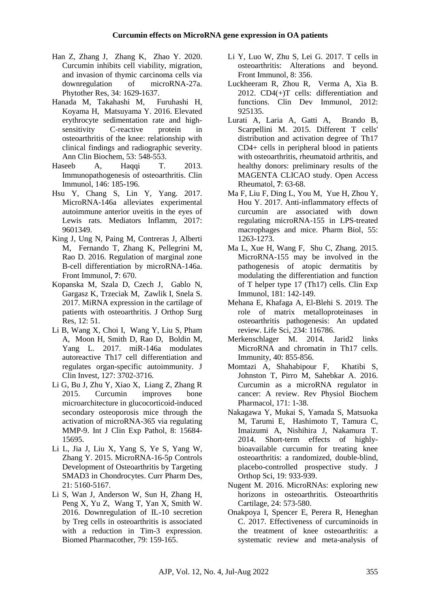- Han Z, Zhang J, Zhang K, Zhao Y. 2020. Curcumin inhibits cell viability, migration, and invasion of thymic carcinoma cells via downregulation of microRNA-27a. Phytother Res, 34: 1629-1637.
- Hanada M, Takahashi M, Furuhashi H, Koyama H, Matsuyama Y. 2016. Elevated erythrocyte sedimentation rate and highsensitivity C-reactive protein in osteoarthritis of the knee: relationship with clinical findings and radiographic severity. Ann Clin Biochem, 53: 548-553.
- Haseeb A, Haqqi T. 2013. Immunopathogenesis of osteoarthritis. Clin Immunol, 146: 185-196.
- Hsu Y, Chang S, Lin Y, Yang. 2017. MicroRNA-146a alleviates experimental autoimmune anterior uveitis in the eyes of Lewis rats. Mediators Inflamm, 2017: 9601349.
- King J, Ung N, Paing M, Contreras J, Alberti M, Fernando T, Zhang K, Pellegrini M, Rao D. 2016. Regulation of marginal zone B-cell differentiation by microRNA-146a. Front Immunol, **7**: 670.
- Kopanska M, Szala D, Czech J, Gablo N, Gargasz K, Trzeciak M, Zawlik I, Snela S. 2017. MiRNA expression in the cartilage of patients with osteoarthritis. J Orthop Surg Res, 12: 51.
- Li B, Wang X, Choi I, Wang Y, Liu S, Pham A, Moon H, Smith D, Rao D, Boldin M, Yang L. 2017. miR-146a modulates autoreactive Th17 cell differentiation and regulates organ-specific autoimmunity. J Clin Invest, 127: 3702-3716.
- Li G, Bu J, Zhu Y, Xiao X, Liang Z, Zhang R 2015. Curcumin improves bone microarchitecture in glucocorticoid-induced secondary osteoporosis mice through the activation of microRNA-365 via regulating MMP-9. Int J Clin Exp Pathol, 8: 15684- 15695.
- Li L, Jia J, Liu X, Yang S, Ye S, Yang W, Zhang Y. 2015. MicroRNA-16-5p Controls Development of Osteoarthritis by Targeting SMAD3 in Chondrocytes. Curr Pharm Des, 21: 5160-5167.
- Li S, Wan J, Anderson W, Sun H, Zhang H, Peng X, Yu Z, Wang T, Yan X, Smith W. 2016. Downregulation of IL-10 secretion by Treg cells in osteoarthritis is associated with a reduction in Tim-3 expression. Biomed Pharmacother, 79: 159-165.
- Li Y, Luo W, Zhu S, Lei G. 2017. T cells in osteoarthritis: Alterations and beyond. Front Immunol, 8: 356.
- Luckheeram R, Zhou R, Verma A, Xia B. 2012. CD4(+)T cells: differentiation and functions. Clin Dev Immunol, 2012: 925135.
- Lurati A, Laria A, Gatti A, Brando B, Scarpellini M. 2015. Different T cells' distribution and activation degree of Th17 CD4+ cells in peripheral blood in patients with osteoarthritis, rheumatoid arthritis, and healthy donors: preliminary results of the MAGENTA CLICAO study. Open Access Rheumatol, **7**: 63-68.
- Ma F, Liu F, Ding L, You M, Yue H, Zhou Y, Hou Y. 2017. Anti-inflammatory effects of curcumin are associated with down regulating microRNA-155 in LPS-treated macrophages and mice. Pharm Biol, 55: 1263-1273.
- Ma L, Xue H, Wang F, Shu C, Zhang. 2015. MicroRNA-155 may be involved in the pathogenesis of atopic dermatitis by modulating the differentiation and function of T helper type 17 (Th17) cells. Clin Exp Immunol, 181: 142-149.
- Mehana E, Khafaga A, El-Blehi S. 2019. The role of matrix metalloproteinases in osteoarthritis pathogenesis: An updated review. Life Sci, 234: 116786.
- Merkenschlager M. 2014. Jarid2 links MicroRNA and chromatin in Th17 cells. Immunity, 40: 855-856.
- Momtazi A, Shahabipour F, Khatibi S, Johnston T, Pirro M, Sahebkar A. 2016. Curcumin as a microRNA regulator in cancer: A review. Rev Physiol Biochem Pharmacol, 171: 1-38.
- Nakagawa Y, Mukai S, Yamada S, Matsuoka M, Tarumi E, Hashimoto T, Tamura C, Imaizumi A, Nishihira J, Nakamura T. 2014. Short-term effects of highlybioavailable curcumin for treating knee osteoarthritis: a randomized, double-blind, placebo-controlled prospective study. J Orthop Sci, 19: 933-939.
- Nugent M. 2016. MicroRNAs: exploring new horizons in osteoarthritis. Osteoarthritis Cartilage, 24: 573-580.
- Onakpoya I, Spencer E, Perera R, Heneghan C. 2017. Effectiveness of curcuminoids in the treatment of knee osteoarthritis: a systematic review and meta-analysis of